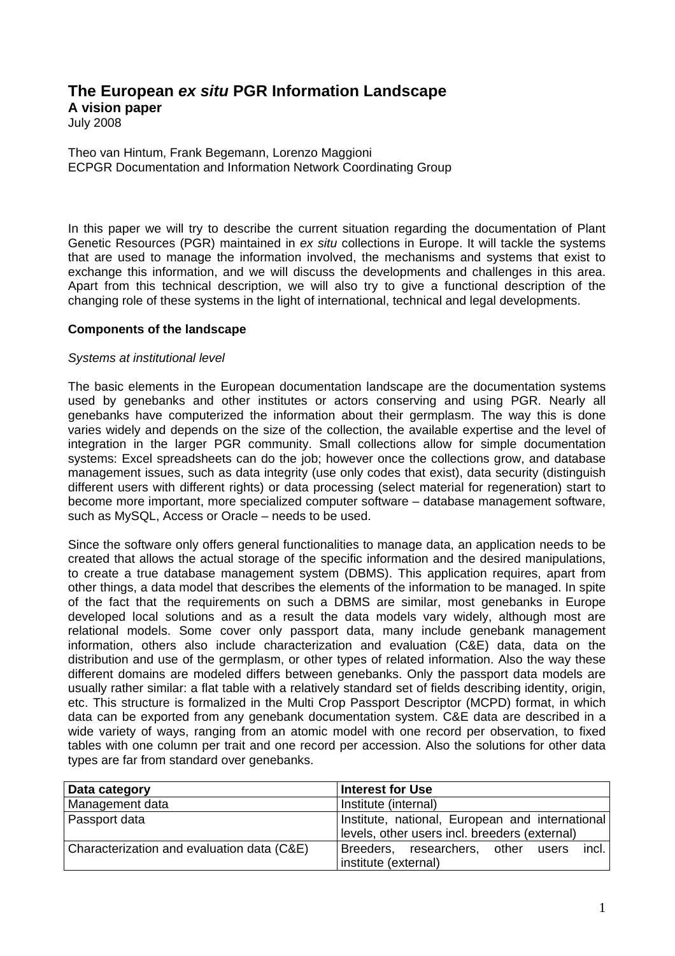# **The European ex situ PGR Information Landscape**

**A vision paper** 

July 2008

Theo van Hintum, Frank Begemann, Lorenzo Maggioni ECPGR Documentation and Information Network Coordinating Group

In this paper we will try to describe the current situation regarding the documentation of Plant Genetic Resources (PGR) maintained in ex situ collections in Europe. It will tackle the systems that are used to manage the information involved, the mechanisms and systems that exist to exchange this information, and we will discuss the developments and challenges in this area. Apart from this technical description, we will also try to give a functional description of the changing role of these systems in the light of international, technical and legal developments.

#### **Components of the landscape**

#### Systems at institutional level

The basic elements in the European documentation landscape are the documentation systems used by genebanks and other institutes or actors conserving and using PGR. Nearly all genebanks have computerized the information about their germplasm. The way this is done varies widely and depends on the size of the collection, the available expertise and the level of integration in the larger PGR community. Small collections allow for simple documentation systems: Excel spreadsheets can do the job; however once the collections grow, and database management issues, such as data integrity (use only codes that exist), data security (distinguish different users with different rights) or data processing (select material for regeneration) start to become more important, more specialized computer software – database management software, such as MySQL, Access or Oracle – needs to be used.

Since the software only offers general functionalities to manage data, an application needs to be created that allows the actual storage of the specific information and the desired manipulations, to create a true database management system (DBMS). This application requires, apart from other things, a data model that describes the elements of the information to be managed. In spite of the fact that the requirements on such a DBMS are similar, most genebanks in Europe developed local solutions and as a result the data models vary widely, although most are relational models. Some cover only passport data, many include genebank management information, others also include characterization and evaluation (C&E) data, data on the distribution and use of the germplasm, or other types of related information. Also the way these different domains are modeled differs between genebanks. Only the passport data models are usually rather similar: a flat table with a relatively standard set of fields describing identity, origin, etc. This structure is formalized in the Multi Crop Passport Descriptor (MCPD) format, in which data can be exported from any genebank documentation system. C&E data are described in a wide variety of ways, ranging from an atomic model with one record per observation, to fixed tables with one column per trait and one record per accession. Also the solutions for other data types are far from standard over genebanks.

| Data category                              | <b>Interest for Use</b>                         |
|--------------------------------------------|-------------------------------------------------|
| Management data                            | Institute (internal)                            |
| Passport data                              | Institute, national, European and international |
|                                            | levels, other users incl. breeders (external)   |
| Characterization and evaluation data (C&E) | incl.<br>Breeders, researchers, other<br>users  |
|                                            | institute (external)                            |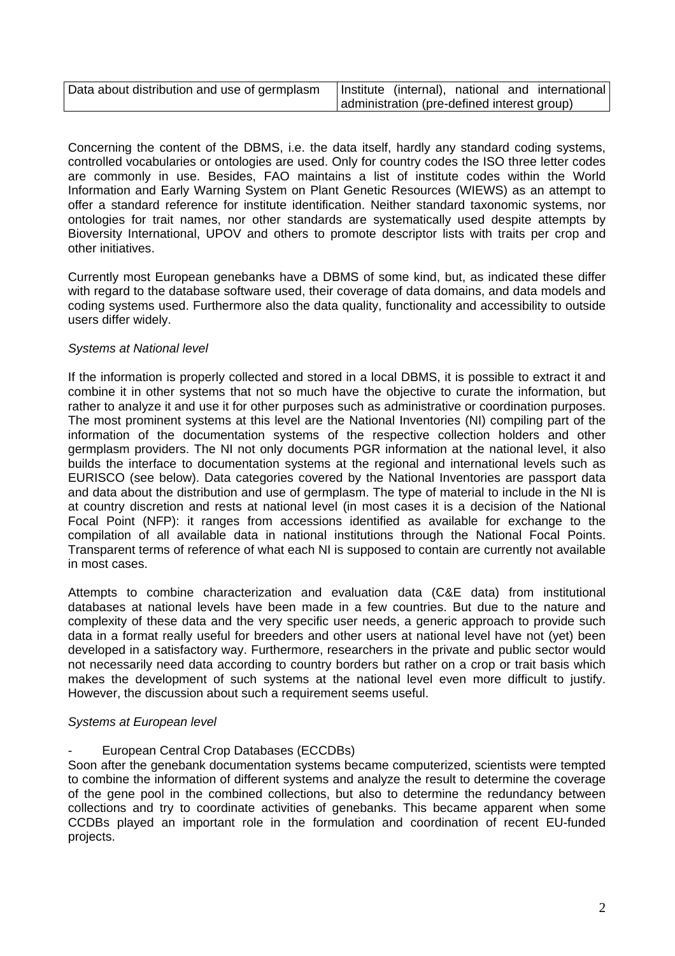| Data about distribution and use of germplasm |                                             |  | Institute (internal), national and international |
|----------------------------------------------|---------------------------------------------|--|--------------------------------------------------|
|                                              | administration (pre-defined interest group) |  |                                                  |

Concerning the content of the DBMS, i.e. the data itself, hardly any standard coding systems, controlled vocabularies or ontologies are used. Only for country codes the ISO three letter codes are commonly in use. Besides, FAO maintains a list of institute codes within the World Information and Early Warning System on Plant Genetic Resources (WIEWS) as an attempt to offer a standard reference for institute identification. Neither standard taxonomic systems, nor ontologies for trait names, nor other standards are systematically used despite attempts by Bioversity International, UPOV and others to promote descriptor lists with traits per crop and other initiatives.

Currently most European genebanks have a DBMS of some kind, but, as indicated these differ with regard to the database software used, their coverage of data domains, and data models and coding systems used. Furthermore also the data quality, functionality and accessibility to outside users differ widely.

# Systems at National level

If the information is properly collected and stored in a local DBMS, it is possible to extract it and combine it in other systems that not so much have the objective to curate the information, but rather to analyze it and use it for other purposes such as administrative or coordination purposes. The most prominent systems at this level are the National Inventories (NI) compiling part of the information of the documentation systems of the respective collection holders and other germplasm providers. The NI not only documents PGR information at the national level, it also builds the interface to documentation systems at the regional and international levels such as EURISCO (see below). Data categories covered by the National Inventories are passport data and data about the distribution and use of germplasm. The type of material to include in the NI is at country discretion and rests at national level (in most cases it is a decision of the National Focal Point (NFP): it ranges from accessions identified as available for exchange to the compilation of all available data in national institutions through the National Focal Points. Transparent terms of reference of what each NI is supposed to contain are currently not available in most cases.

Attempts to combine characterization and evaluation data (C&E data) from institutional databases at national levels have been made in a few countries. But due to the nature and complexity of these data and the very specific user needs, a generic approach to provide such data in a format really useful for breeders and other users at national level have not (yet) been developed in a satisfactory way. Furthermore, researchers in the private and public sector would not necessarily need data according to country borders but rather on a crop or trait basis which makes the development of such systems at the national level even more difficult to justify. However, the discussion about such a requirement seems useful.

# Systems at European level

European Central Crop Databases (ECCDBs)

Soon after the genebank documentation systems became computerized, scientists were tempted to combine the information of different systems and analyze the result to determine the coverage of the gene pool in the combined collections, but also to determine the redundancy between collections and try to coordinate activities of genebanks. This became apparent when some CCDBs played an important role in the formulation and coordination of recent EU-funded projects.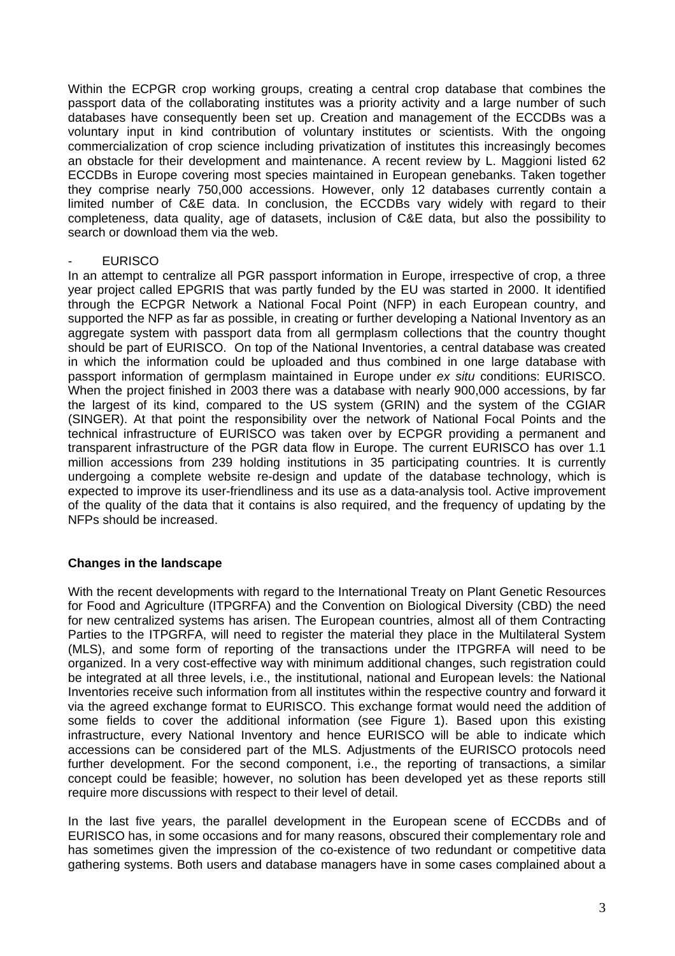Within the ECPGR crop working groups, creating a central crop database that combines the passport data of the collaborating institutes was a priority activity and a large number of such databases have consequently been set up. Creation and management of the ECCDBs was a voluntary input in kind contribution of voluntary institutes or scientists. With the ongoing commercialization of crop science including privatization of institutes this increasingly becomes an obstacle for their development and maintenance. A recent review by L. Maggioni listed 62 ECCDBs in Europe covering most species maintained in European genebanks. Taken together they comprise nearly 750,000 accessions. However, only 12 databases currently contain a limited number of C&E data. In conclusion, the ECCDBs vary widely with regard to their completeness, data quality, age of datasets, inclusion of C&E data, but also the possibility to search or download them via the web.

#### **EURISCO**

In an attempt to centralize all PGR passport information in Europe, irrespective of crop, a three year project called EPGRIS that was partly funded by the EU was started in 2000. It identified through the ECPGR Network a National Focal Point (NFP) in each European country, and supported the NFP as far as possible, in creating or further developing a National Inventory as an aggregate system with passport data from all germplasm collections that the country thought should be part of EURISCO. On top of the National Inventories, a central database was created in which the information could be uploaded and thus combined in one large database with passport information of germplasm maintained in Europe under ex situ conditions: EURISCO. When the project finished in 2003 there was a database with nearly 900,000 accessions, by far the largest of its kind, compared to the US system (GRIN) and the system of the CGIAR (SINGER). At that point the responsibility over the network of National Focal Points and the technical infrastructure of EURISCO was taken over by ECPGR providing a permanent and transparent infrastructure of the PGR data flow in Europe. The current EURISCO has over 1.1 million accessions from 239 holding institutions in 35 participating countries. It is currently undergoing a complete website re-design and update of the database technology, which is expected to improve its user-friendliness and its use as a data-analysis tool. Active improvement of the quality of the data that it contains is also required, and the frequency of updating by the NFPs should be increased.

# **Changes in the landscape**

With the recent developments with regard to the International Treaty on Plant Genetic Resources for Food and Agriculture (ITPGRFA) and the Convention on Biological Diversity (CBD) the need for new centralized systems has arisen. The European countries, almost all of them Contracting Parties to the ITPGRFA, will need to register the material they place in the Multilateral System (MLS), and some form of reporting of the transactions under the ITPGRFA will need to be organized. In a very cost-effective way with minimum additional changes, such registration could be integrated at all three levels, i.e., the institutional, national and European levels: the National Inventories receive such information from all institutes within the respective country and forward it via the agreed exchange format to EURISCO. This exchange format would need the addition of some fields to cover the additional information (see Figure 1). Based upon this existing infrastructure, every National Inventory and hence EURISCO will be able to indicate which accessions can be considered part of the MLS. Adjustments of the EURISCO protocols need further development. For the second component, i.e., the reporting of transactions, a similar concept could be feasible; however, no solution has been developed yet as these reports still require more discussions with respect to their level of detail.

In the last five years, the parallel development in the European scene of ECCDBs and of EURISCO has, in some occasions and for many reasons, obscured their complementary role and has sometimes given the impression of the co-existence of two redundant or competitive data gathering systems. Both users and database managers have in some cases complained about a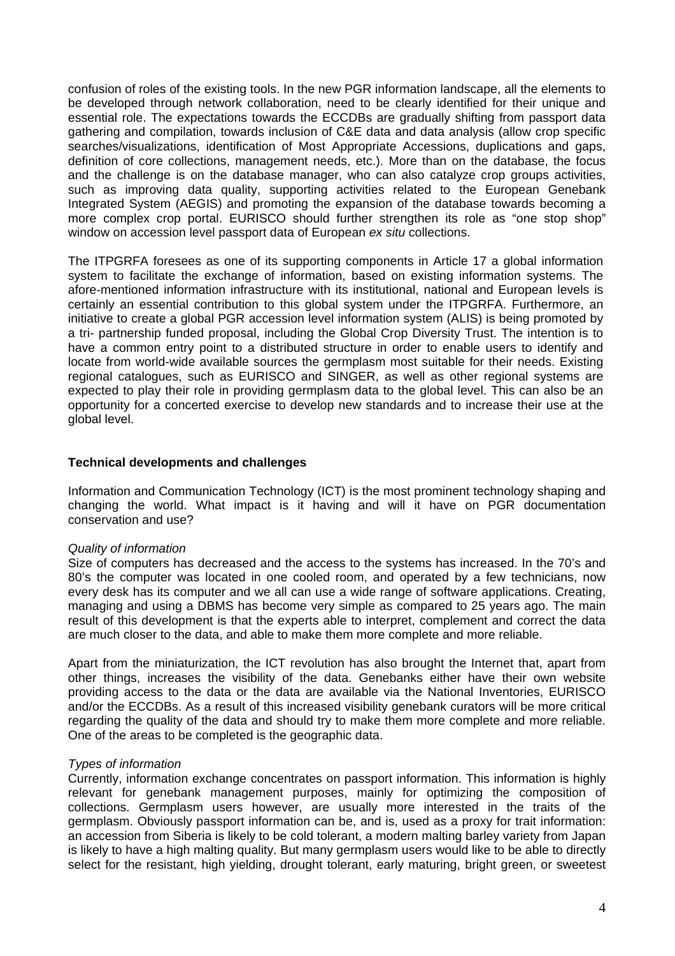confusion of roles of the existing tools. In the new PGR information landscape, all the elements to be developed through network collaboration, need to be clearly identified for their unique and essential role. The expectations towards the ECCDBs are gradually shifting from passport data gathering and compilation, towards inclusion of C&E data and data analysis (allow crop specific searches/visualizations, identification of Most Appropriate Accessions, duplications and gaps, definition of core collections, management needs, etc.). More than on the database, the focus and the challenge is on the database manager, who can also catalyze crop groups activities, such as improving data quality, supporting activities related to the European Genebank Integrated System (AEGIS) and promoting the expansion of the database towards becoming a more complex crop portal. EURISCO should further strengthen its role as "one stop shop" window on accession level passport data of European ex situ collections.

The ITPGRFA foresees as one of its supporting components in Article 17 a global information system to facilitate the exchange of information, based on existing information systems. The afore-mentioned information infrastructure with its institutional, national and European levels is certainly an essential contribution to this global system under the ITPGRFA. Furthermore, an initiative to create a global PGR accession level information system (ALIS) is being promoted by a tri- partnership funded proposal, including the Global Crop Diversity Trust. The intention is to have a common entry point to a distributed structure in order to enable users to identify and locate from world-wide available sources the germplasm most suitable for their needs. Existing regional catalogues, such as EURISCO and SINGER, as well as other regional systems are expected to play their role in providing germplasm data to the global level. This can also be an opportunity for a concerted exercise to develop new standards and to increase their use at the global level.

#### **Technical developments and challenges**

Information and Communication Technology (ICT) is the most prominent technology shaping and changing the world. What impact is it having and will it have on PGR documentation conservation and use?

#### Quality of information

Size of computers has decreased and the access to the systems has increased. In the 70's and 80's the computer was located in one cooled room, and operated by a few technicians, now every desk has its computer and we all can use a wide range of software applications. Creating, managing and using a DBMS has become very simple as compared to 25 years ago. The main result of this development is that the experts able to interpret, complement and correct the data are much closer to the data, and able to make them more complete and more reliable.

Apart from the miniaturization, the ICT revolution has also brought the Internet that, apart from other things, increases the visibility of the data. Genebanks either have their own website providing access to the data or the data are available via the National Inventories, EURISCO and/or the ECCDBs. As a result of this increased visibility genebank curators will be more critical regarding the quality of the data and should try to make them more complete and more reliable. One of the areas to be completed is the geographic data.

# Types of information

Currently, information exchange concentrates on passport information. This information is highly relevant for genebank management purposes, mainly for optimizing the composition of collections. Germplasm users however, are usually more interested in the traits of the germplasm. Obviously passport information can be, and is, used as a proxy for trait information: an accession from Siberia is likely to be cold tolerant, a modern malting barley variety from Japan is likely to have a high malting quality. But many germplasm users would like to be able to directly select for the resistant, high yielding, drought tolerant, early maturing, bright green, or sweetest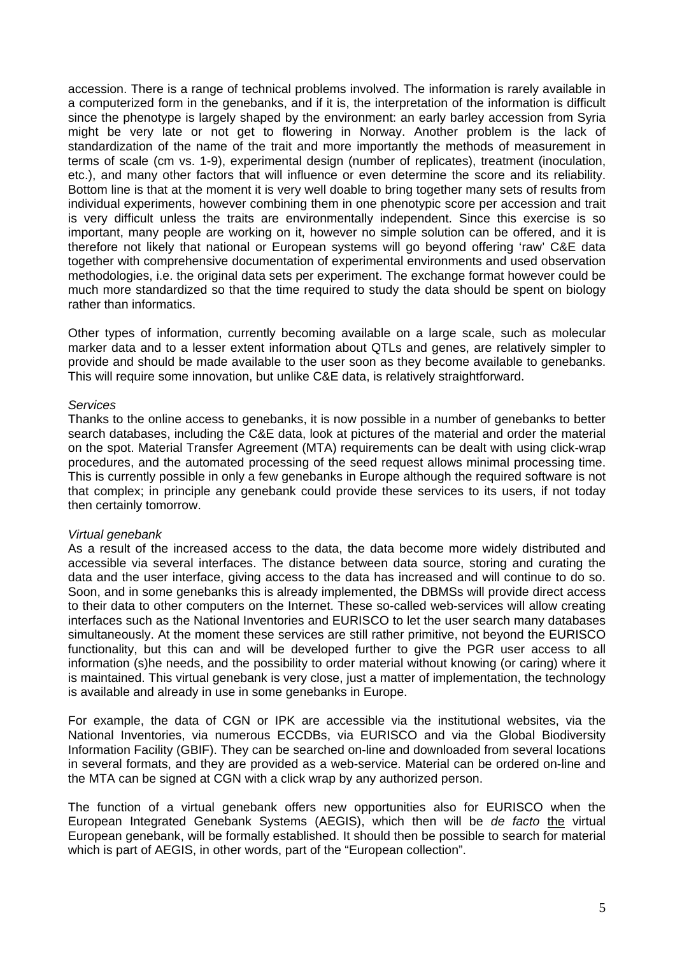accession. There is a range of technical problems involved. The information is rarely available in a computerized form in the genebanks, and if it is, the interpretation of the information is difficult since the phenotype is largely shaped by the environment: an early barley accession from Syria might be very late or not get to flowering in Norway. Another problem is the lack of standardization of the name of the trait and more importantly the methods of measurement in terms of scale (cm vs. 1-9), experimental design (number of replicates), treatment (inoculation, etc.), and many other factors that will influence or even determine the score and its reliability. Bottom line is that at the moment it is very well doable to bring together many sets of results from individual experiments, however combining them in one phenotypic score per accession and trait is very difficult unless the traits are environmentally independent. Since this exercise is so important, many people are working on it, however no simple solution can be offered, and it is therefore not likely that national or European systems will go beyond offering 'raw' C&E data together with comprehensive documentation of experimental environments and used observation methodologies, i.e. the original data sets per experiment. The exchange format however could be much more standardized so that the time required to study the data should be spent on biology rather than informatics.

Other types of information, currently becoming available on a large scale, such as molecular marker data and to a lesser extent information about QTLs and genes, are relatively simpler to provide and should be made available to the user soon as they become available to genebanks. This will require some innovation, but unlike C&E data, is relatively straightforward.

#### **Services**

Thanks to the online access to genebanks, it is now possible in a number of genebanks to better search databases, including the C&E data, look at pictures of the material and order the material on the spot. Material Transfer Agreement (MTA) requirements can be dealt with using click-wrap procedures, and the automated processing of the seed request allows minimal processing time. This is currently possible in only a few genebanks in Europe although the required software is not that complex; in principle any genebank could provide these services to its users, if not today then certainly tomorrow.

# Virtual genebank

As a result of the increased access to the data, the data become more widely distributed and accessible via several interfaces. The distance between data source, storing and curating the data and the user interface, giving access to the data has increased and will continue to do so. Soon, and in some genebanks this is already implemented, the DBMSs will provide direct access to their data to other computers on the Internet. These so-called web-services will allow creating interfaces such as the National Inventories and EURISCO to let the user search many databases simultaneously. At the moment these services are still rather primitive, not beyond the EURISCO functionality, but this can and will be developed further to give the PGR user access to all information (s)he needs, and the possibility to order material without knowing (or caring) where it is maintained. This virtual genebank is very close, just a matter of implementation, the technology is available and already in use in some genebanks in Europe.

For example, the data of CGN or IPK are accessible via the institutional websites, via the National Inventories, via numerous ECCDBs, via EURISCO and via the Global Biodiversity Information Facility (GBIF). They can be searched on-line and downloaded from several locations in several formats, and they are provided as a web-service. Material can be ordered on-line and the MTA can be signed at CGN with a click wrap by any authorized person.

The function of a virtual genebank offers new opportunities also for EURISCO when the European Integrated Genebank Systems (AEGIS), which then will be de facto the virtual European genebank, will be formally established. It should then be possible to search for material which is part of AEGIS, in other words, part of the "European collection".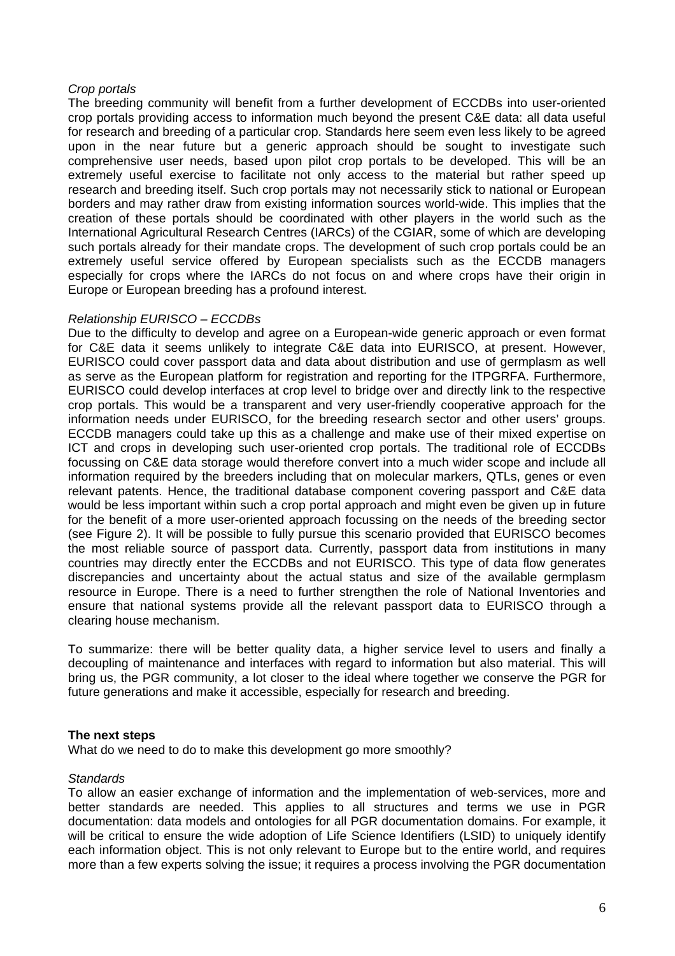#### Crop portals

The breeding community will benefit from a further development of ECCDBs into user-oriented crop portals providing access to information much beyond the present C&E data: all data useful for research and breeding of a particular crop. Standards here seem even less likely to be agreed upon in the near future but a generic approach should be sought to investigate such comprehensive user needs, based upon pilot crop portals to be developed. This will be an extremely useful exercise to facilitate not only access to the material but rather speed up research and breeding itself. Such crop portals may not necessarily stick to national or European borders and may rather draw from existing information sources world-wide. This implies that the creation of these portals should be coordinated with other players in the world such as the International Agricultural Research Centres (IARCs) of the CGIAR, some of which are developing such portals already for their mandate crops. The development of such crop portals could be an extremely useful service offered by European specialists such as the ECCDB managers especially for crops where the IARCs do not focus on and where crops have their origin in Europe or European breeding has a profound interest.

#### Relationship EURISCO – ECCDBs

Due to the difficulty to develop and agree on a European-wide generic approach or even format for C&E data it seems unlikely to integrate C&E data into EURISCO, at present. However, EURISCO could cover passport data and data about distribution and use of germplasm as well as serve as the European platform for registration and reporting for the ITPGRFA. Furthermore, EURISCO could develop interfaces at crop level to bridge over and directly link to the respective crop portals. This would be a transparent and very user-friendly cooperative approach for the information needs under EURISCO, for the breeding research sector and other users' groups. ECCDB managers could take up this as a challenge and make use of their mixed expertise on ICT and crops in developing such user-oriented crop portals. The traditional role of ECCDBs focussing on C&E data storage would therefore convert into a much wider scope and include all information required by the breeders including that on molecular markers, QTLs, genes or even relevant patents. Hence, the traditional database component covering passport and C&E data would be less important within such a crop portal approach and might even be given up in future for the benefit of a more user-oriented approach focussing on the needs of the breeding sector (see Figure 2). It will be possible to fully pursue this scenario provided that EURISCO becomes the most reliable source of passport data. Currently, passport data from institutions in many countries may directly enter the ECCDBs and not EURISCO. This type of data flow generates discrepancies and uncertainty about the actual status and size of the available germplasm resource in Europe. There is a need to further strengthen the role of National Inventories and ensure that national systems provide all the relevant passport data to EURISCO through a clearing house mechanism.

To summarize: there will be better quality data, a higher service level to users and finally a decoupling of maintenance and interfaces with regard to information but also material. This will bring us, the PGR community, a lot closer to the ideal where together we conserve the PGR for future generations and make it accessible, especially for research and breeding.

#### **The next steps**

What do we need to do to make this development go more smoothly?

# **Standards**

To allow an easier exchange of information and the implementation of web-services, more and better standards are needed. This applies to all structures and terms we use in PGR documentation: data models and ontologies for all PGR documentation domains. For example, it will be critical to ensure the wide adoption of Life Science Identifiers (LSID) to uniquely identify each information object. This is not only relevant to Europe but to the entire world, and requires more than a few experts solving the issue; it requires a process involving the PGR documentation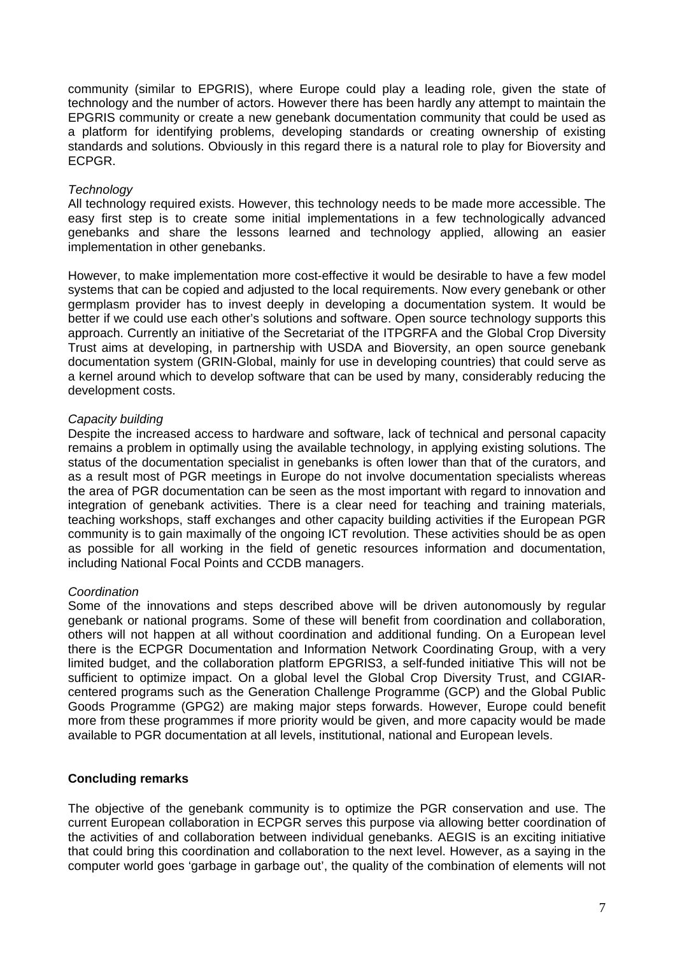community (similar to EPGRIS), where Europe could play a leading role, given the state of technology and the number of actors. However there has been hardly any attempt to maintain the EPGRIS community or create a new genebank documentation community that could be used as a platform for identifying problems, developing standards or creating ownership of existing standards and solutions. Obviously in this regard there is a natural role to play for Bioversity and ECPGR.

### **Technology**

All technology required exists. However, this technology needs to be made more accessible. The easy first step is to create some initial implementations in a few technologically advanced genebanks and share the lessons learned and technology applied, allowing an easier implementation in other genebanks.

However, to make implementation more cost-effective it would be desirable to have a few model systems that can be copied and adjusted to the local requirements. Now every genebank or other germplasm provider has to invest deeply in developing a documentation system. It would be better if we could use each other's solutions and software. Open source technology supports this approach. Currently an initiative of the Secretariat of the ITPGRFA and the Global Crop Diversity Trust aims at developing, in partnership with USDA and Bioversity, an open source genebank documentation system (GRIN-Global, mainly for use in developing countries) that could serve as a kernel around which to develop software that can be used by many, considerably reducing the development costs.

#### Capacity building

Despite the increased access to hardware and software, lack of technical and personal capacity remains a problem in optimally using the available technology, in applying existing solutions. The status of the documentation specialist in genebanks is often lower than that of the curators, and as a result most of PGR meetings in Europe do not involve documentation specialists whereas the area of PGR documentation can be seen as the most important with regard to innovation and integration of genebank activities. There is a clear need for teaching and training materials, teaching workshops, staff exchanges and other capacity building activities if the European PGR community is to gain maximally of the ongoing ICT revolution. These activities should be as open as possible for all working in the field of genetic resources information and documentation, including National Focal Points and CCDB managers.

# **Coordination**

Some of the innovations and steps described above will be driven autonomously by regular genebank or national programs. Some of these will benefit from coordination and collaboration, others will not happen at all without coordination and additional funding. On a European level there is the ECPGR Documentation and Information Network Coordinating Group, with a very limited budget, and the collaboration platform EPGRIS3, a self-funded initiative This will not be sufficient to optimize impact. On a global level the Global Crop Diversity Trust, and CGIARcentered programs such as the Generation Challenge Programme (GCP) and the Global Public Goods Programme (GPG2) are making major steps forwards. However, Europe could benefit more from these programmes if more priority would be given, and more capacity would be made available to PGR documentation at all levels, institutional, national and European levels.

# **Concluding remarks**

The objective of the genebank community is to optimize the PGR conservation and use. The current European collaboration in ECPGR serves this purpose via allowing better coordination of the activities of and collaboration between individual genebanks. AEGIS is an exciting initiative that could bring this coordination and collaboration to the next level. However, as a saying in the computer world goes 'garbage in garbage out', the quality of the combination of elements will not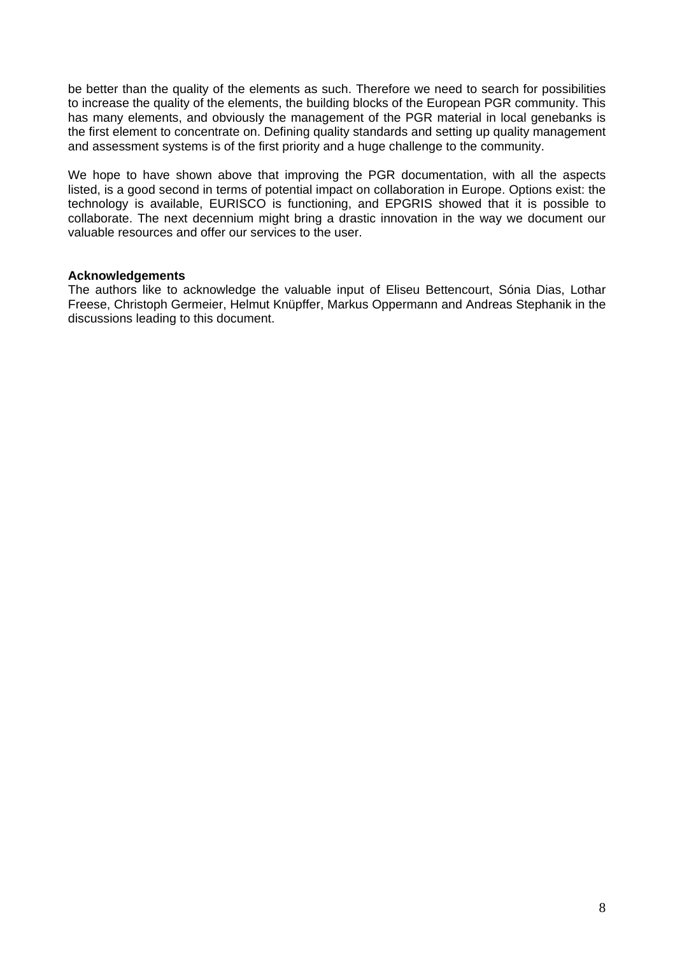be better than the quality of the elements as such. Therefore we need to search for possibilities to increase the quality of the elements, the building blocks of the European PGR community. This has many elements, and obviously the management of the PGR material in local genebanks is the first element to concentrate on. Defining quality standards and setting up quality management and assessment systems is of the first priority and a huge challenge to the community.

We hope to have shown above that improving the PGR documentation, with all the aspects listed, is a good second in terms of potential impact on collaboration in Europe. Options exist: the technology is available, EURISCO is functioning, and EPGRIS showed that it is possible to collaborate. The next decennium might bring a drastic innovation in the way we document our valuable resources and offer our services to the user.

#### **Acknowledgements**

The authors like to acknowledge the valuable input of Eliseu Bettencourt, Sónia Dias, Lothar Freese, Christoph Germeier, Helmut Knüpffer, Markus Oppermann and Andreas Stephanik in the discussions leading to this document.